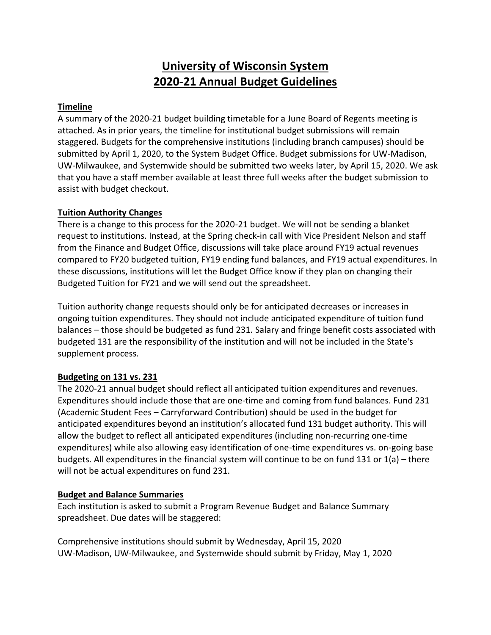# **University of Wisconsin System 2020-21 Annual Budget Guidelines**

#### **Timeline**

A summary of the 2020-21 budget building timetable for a June Board of Regents meeting is attached. As in prior years, the timeline for institutional budget submissions will remain staggered. Budgets for the comprehensive institutions (including branch campuses) should be submitted by April 1, 2020, to the System Budget Office. Budget submissions for UW-Madison, UW-Milwaukee, and Systemwide should be submitted two weeks later, by April 15, 2020. We ask that you have a staff member available at least three full weeks after the budget submission to assist with budget checkout.

#### **Tuition Authority Changes**

There is a change to this process for the 2020-21 budget. We will not be sending a blanket request to institutions. Instead, at the Spring check-in call with Vice President Nelson and staff from the Finance and Budget Office, discussions will take place around FY19 actual revenues compared to FY20 budgeted tuition, FY19 ending fund balances, and FY19 actual expenditures. In these discussions, institutions will let the Budget Office know if they plan on changing their Budgeted Tuition for FY21 and we will send out the spreadsheet.

Tuition authority change requests should only be for anticipated decreases or increases in ongoing tuition expenditures. They should not include anticipated expenditure of tuition fund balances – those should be budgeted as fund 231. Salary and fringe benefit costs associated with budgeted 131 are the responsibility of the institution and will not be included in the State's supplement process.

## **Budgeting on 131 vs. 231**

The 2020-21 annual budget should reflect all anticipated tuition expenditures and revenues. Expenditures should include those that are one-time and coming from fund balances. Fund 231 (Academic Student Fees – Carryforward Contribution) should be used in the budget for anticipated expenditures beyond an institution's allocated fund 131 budget authority. This will allow the budget to reflect all anticipated expenditures (including non-recurring one-time expenditures) while also allowing easy identification of one-time expenditures vs. on-going base budgets. All expenditures in the financial system will continue to be on fund 131 or 1(a) – there will not be actual expenditures on fund 231.

## **Budget and Balance Summaries**

Each institution is asked to submit a Program Revenue Budget and Balance Summary spreadsheet. Due dates will be staggered:

Comprehensive institutions should submit by Wednesday, April 15, 2020 UW-Madison, UW-Milwaukee, and Systemwide should submit by Friday, May 1, 2020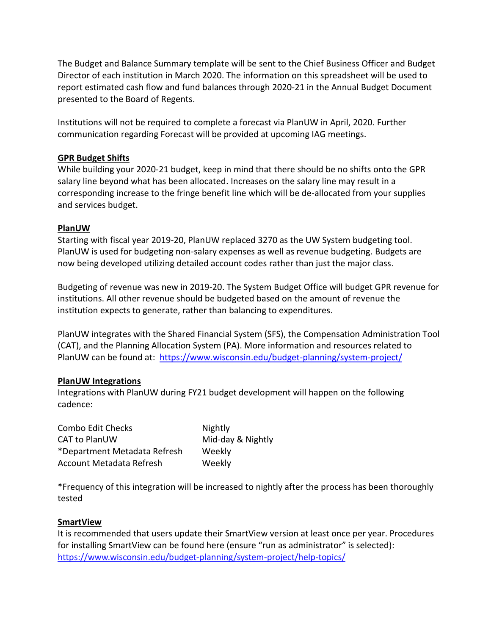The Budget and Balance Summary template will be sent to the Chief Business Officer and Budget Director of each institution in March 2020. The information on this spreadsheet will be used to report estimated cash flow and fund balances through 2020-21 in the Annual Budget Document presented to the Board of Regents.

Institutions will not be required to complete a forecast via PlanUW in April, 2020. Further communication regarding Forecast will be provided at upcoming IAG meetings.

#### **GPR Budget Shifts**

While building your 2020-21 budget, keep in mind that there should be no shifts onto the GPR salary line beyond what has been allocated. Increases on the salary line may result in a corresponding increase to the fringe benefit line which will be de-allocated from your supplies and services budget.

#### **PlanUW**

Starting with fiscal year 2019-20, PlanUW replaced 3270 as the UW System budgeting tool. PlanUW is used for budgeting non-salary expenses as well as revenue budgeting. Budgets are now being developed utilizing detailed account codes rather than just the major class.

Budgeting of revenue was new in 2019-20. The System Budget Office will budget GPR revenue for institutions. All other revenue should be budgeted based on the amount of revenue the institution expects to generate, rather than balancing to expenditures.

PlanUW integrates with the Shared Financial System (SFS), the Compensation Administration Tool (CAT), and the Planning Allocation System (PA). More information and resources related to PlanUW can be found at: <https://www.wisconsin.edu/budget-planning/system-project/>

## **PlanUW Integrations**

Integrations with PlanUW during FY21 budget development will happen on the following cadence:

| <b>Combo Edit Checks</b>     | Nightly           |
|------------------------------|-------------------|
| <b>CAT to PlanUW</b>         | Mid-day & Nightly |
| *Department Metadata Refresh | Weekly            |
| Account Metadata Refresh     | Weekly            |

\*Frequency of this integration will be increased to nightly after the process has been thoroughly tested

## **SmartView**

It is recommended that users update their SmartView version at least once per year. Procedures for installing SmartView can be found here (ensure "run as administrator" is selected): <https://www.wisconsin.edu/budget-planning/system-project/help-topics/>